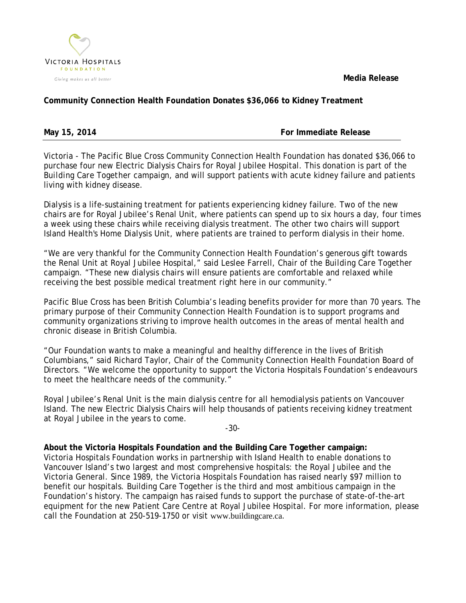

 **Media Release**

## **Community Connection Health Foundation Donates \$36,066 to Kidney Treatment**

May 15, 2014 **May 15, 2014** For Immediate Release

Victoria - The Pacific Blue Cross Community Connection Health Foundation has donated \$36,066 to purchase four new Electric Dialysis Chairs for Royal Jubilee Hospital. This donation is part of the *Building Care Together* campaign, and will support patients with acute kidney failure and patients living with kidney disease.

Dialysis is a life-sustaining treatment for patients experiencing kidney failure. Two of the new chairs are for Royal Jubilee's Renal Unit, where patients can spend up to six hours a day, four times a week using these chairs while receiving dialysis treatment. The other two chairs will support Island Health's Home Dialysis Unit, where patients are trained to perform dialysis in their home.

"We are very thankful for the Community Connection Health Foundation's generous gift towards the Renal Unit at Royal Jubilee Hospital," said Leslee Farrell, Chair of the *Building Care Together* campaign. "These new dialysis chairs will ensure patients are comfortable and relaxed while receiving the best possible medical treatment right here in our community."

Pacific Blue Cross has been British Columbia's leading benefits provider for more than 70 years. The primary purpose of their Community Connection Health Foundation is to support programs and community organizations striving to improve health outcomes in the areas of mental health and chronic disease in British Columbia.

"Our Foundation wants to make a meaningful and healthy difference in the lives of British Columbians," said Richard Taylor, Chair of the Community Connection Health Foundation Board of Directors. "We welcome the opportunity to support the Victoria Hospitals Foundation's endeavours to meet the healthcare needs of the community."

Royal Jubilee's Renal Unit is the main dialysis centre for all hemodialysis patients on Vancouver Island. The new Electric Dialysis Chairs will help thousands of patients receiving kidney treatment at Royal Jubilee in the years to come.

-30-

**About the Victoria Hospitals Foundation and the Building Care Together campaign:** Victoria Hospitals Foundation works in partnership with Island Health to enable donations to Vancouver Island's two largest and most comprehensive hospitals: the Royal Jubilee and the Victoria General. Since 1989, the Victoria Hospitals Foundation has raised nearly \$97 million to benefit our hospitals. Building Care Together is the third and most ambitious campaign in the Foundation's history. The campaign has raised funds to support the purchase of state-of-the-art equipment for the new Patient Care Centre at Royal Jubilee Hospital. For more information, please call the Foundation at 250-519-1750 or visit [www.buildingcare.ca](http://www.buildingcare.ca/).